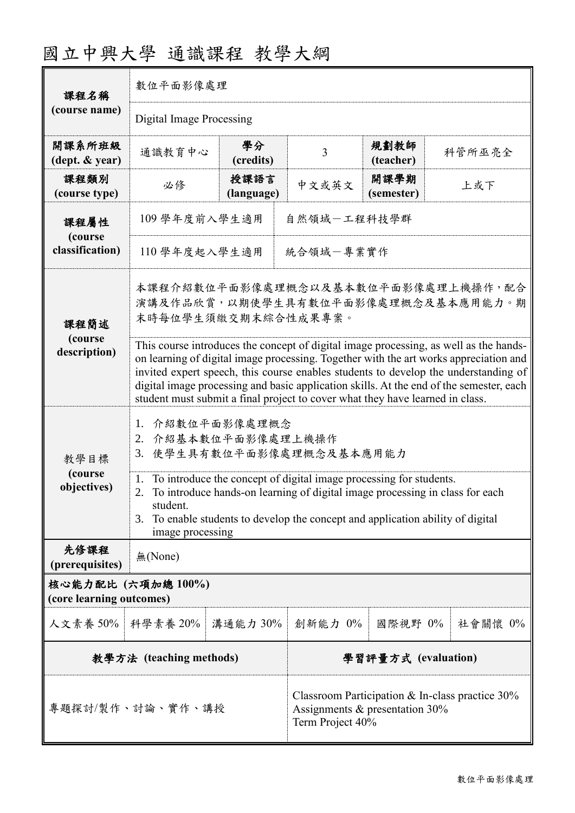| 課程名稱<br>(course name)                         | 數位平面影像處理                                                                                                                                                                                                                                                                                                                                                                                                                                          |                    |                                                                                                          |                    |  |            |  |
|-----------------------------------------------|---------------------------------------------------------------------------------------------------------------------------------------------------------------------------------------------------------------------------------------------------------------------------------------------------------------------------------------------------------------------------------------------------------------------------------------------------|--------------------|----------------------------------------------------------------------------------------------------------|--------------------|--|------------|--|
|                                               | Digital Image Processing                                                                                                                                                                                                                                                                                                                                                                                                                          |                    |                                                                                                          |                    |  |            |  |
| 開課系所班級<br>(dept. & year)                      | 通識教育中心                                                                                                                                                                                                                                                                                                                                                                                                                                            | 學分<br>(credits)    | $\overline{3}$                                                                                           | 規劃教師<br>(teacher)  |  | 科管所巫亮全     |  |
| 課程類別<br>(course type)                         | 必修                                                                                                                                                                                                                                                                                                                                                                                                                                                | 授課語言<br>(language) | 中文或英文                                                                                                    | 開課學期<br>(semester) |  | 上或下        |  |
| 課程屬性<br>(course<br>classification)            | 109 學年度前入學生適用<br>自然領域一工程科技學群                                                                                                                                                                                                                                                                                                                                                                                                                      |                    |                                                                                                          |                    |  |            |  |
|                                               | 統合領域一專業實作<br>110 學年度起入學生適用                                                                                                                                                                                                                                                                                                                                                                                                                        |                    |                                                                                                          |                    |  |            |  |
| 課程簡述                                          | 本課程介紹數位平面影像處理概念以及基本數位平面影像處理上機操作,配合<br>演講及作品欣賞,以期使學生具有數位平面影像處理概念及基本應用能力。期<br>末時每位學生須繳交期末綜合性成果專案。                                                                                                                                                                                                                                                                                                                                                   |                    |                                                                                                          |                    |  |            |  |
| (course<br>description)                       | This course introduces the concept of digital image processing, as well as the hands-<br>on learning of digital image processing. Together with the art works appreciation and<br>invited expert speech, this course enables students to develop the understanding of<br>digital image processing and basic application skills. At the end of the semester, each<br>student must submit a final project to cover what they have learned in class. |                    |                                                                                                          |                    |  |            |  |
| 教學目標<br>(course<br>objectives)                | 介紹數位平面影像處理概念<br>1.<br>2. 介紹基本數位平面影像處理上機操作<br>使學生具有數位平面影像處理概念及基本應用能力<br>3.                                                                                                                                                                                                                                                                                                                                                                         |                    |                                                                                                          |                    |  |            |  |
|                                               | To introduce the concept of digital image processing for students.<br>1.<br>2.<br>To introduce hands-on learning of digital image processing in class for each<br>student.<br>To enable students to develop the concept and application ability of digital<br>3.<br>image processing                                                                                                                                                              |                    |                                                                                                          |                    |  |            |  |
| 先修課程<br>(prerequisites)                       | 無(None)                                                                                                                                                                                                                                                                                                                                                                                                                                           |                    |                                                                                                          |                    |  |            |  |
| 核心能力配比 (六項加總100%)<br>(core learning outcomes) |                                                                                                                                                                                                                                                                                                                                                                                                                                                   |                    |                                                                                                          |                    |  |            |  |
| 人文素養 50%   科學素養 20%                           |                                                                                                                                                                                                                                                                                                                                                                                                                                                   | 溝通能力 30%           | 創新能力 0%                                                                                                  | 國際視野 0%            |  | 社會關懷 $0\%$ |  |
| 教學方法 (teaching methods)                       |                                                                                                                                                                                                                                                                                                                                                                                                                                                   |                    | 學習評量方式 (evaluation)                                                                                      |                    |  |            |  |
| 專題探討/製作、討論、實作、講授                              |                                                                                                                                                                                                                                                                                                                                                                                                                                                   |                    | Classroom Participation & In-class practice $30\%$<br>Assignments & presentation 30%<br>Term Project 40% |                    |  |            |  |

# 國立中興大學 通識課程 教學大綱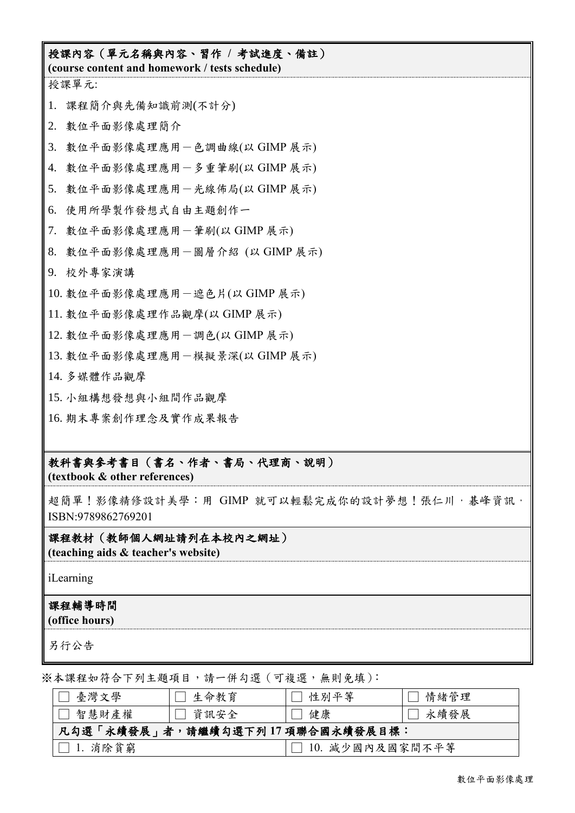## 授課內容(單元名稱與內容、習作 **/** 考試進度、備註) **(course content and homework / tests schedule)** 授課單元: 1. 課程簡介與先備知識前測(不計分) 2. 數位平面影像處理簡介 3. 數位平面影像處理應用-色調曲線(以 GIMP 展示) 4. 數位平面影像處理應用-多重筆刷(以 GIMP 展示) 5. 數位平面影像處理應用一光線佈局(以 GIMP 展示) 6. 使用所學製作發想式自由主題創作一 7. 數位平面影像處理應用-筆刷(以 GIMP 展示) 8. 數位平面影像處理應用-圖層介紹 (以 GIMP 展示) 9. 校外專家演講 10. 數位平面影像處理應用-遮色片(以 GIMP 展示) 11. 數位平面影像處理作品觀摩(以 GIMP 展示) 12. 數位平面影像處理應用-調色(以 GIMP 展示) 13. 數位平面影像處理應用-模擬景深(以 GIMP 展示) 14. 多媒體作品觀摩 15. 小組構想發想與小組間作品觀摩 16. 期末專案創作理念及實作成果報告

#### 教科書與參考書目(書名、作者、書局、代理商、說明)

**(textbook & other references)**

超簡單!影像精修設計美學:用 GIMP 就可以輕鬆完成你的設計夢想!張仁川, 基峰資訊, ISBN:9789862769201

#### 課程教材(教師個人網址請列在本校內之網址) **(teaching aids & teacher's website)**

iLearning

### 課程輔導時間

**(office hours)**

另行公告

※本課程如符合下列主題項目,請一併勾選(可複選,無則免填):

| 臺灣文學                            | 生命教育   | 性別平等            | 情緒管理 |  |  |
|---------------------------------|--------|-----------------|------|--|--|
| 智慧財產權                           | □ 資訊安全 | 健康              | 永續發展 |  |  |
| 凡勾選「永續發展」者,請繼續勾選下列17項聯合國永續發展目標: |        |                 |      |  |  |
| 1. 消除貧窮                         |        | 10. 減少國內及國家間不平等 |      |  |  |